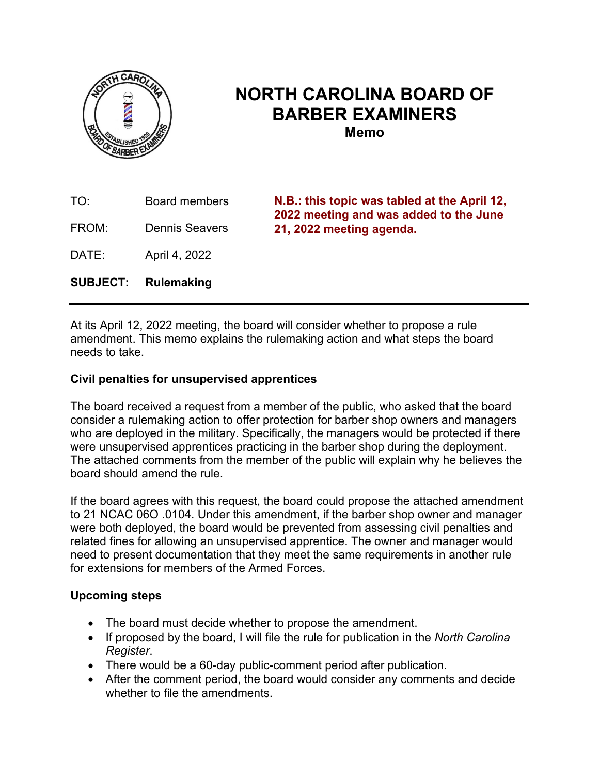

# **NORTH CAROLINA BOARD OF BARBER EXAMINERS Memo**

TO: Board members FROM: Dennis Seavers DATE: April 4, 2022 **SUBJECT: Rulemaking N.B.: this topic was tabled at the April 12, 2022 meeting and was added to the June 21, 2022 meeting agenda.**

At its April 12, 2022 meeting, the board will consider whether to propose a rule amendment. This memo explains the rulemaking action and what steps the board needs to take.

### **Civil penalties for unsupervised apprentices**

The board received a request from a member of the public, who asked that the board consider a rulemaking action to offer protection for barber shop owners and managers who are deployed in the military. Specifically, the managers would be protected if there were unsupervised apprentices practicing in the barber shop during the deployment. The attached comments from the member of the public will explain why he believes the board should amend the rule.

If the board agrees with this request, the board could propose the attached amendment to 21 NCAC 06O .0104. Under this amendment, if the barber shop owner and manager were both deployed, the board would be prevented from assessing civil penalties and related fines for allowing an unsupervised apprentice. The owner and manager would need to present documentation that they meet the same requirements in another rule for extensions for members of the Armed Forces.

#### **Upcoming steps**

- The board must decide whether to propose the amendment.
- If proposed by the board, I will file the rule for publication in the *North Carolina Register*.
- There would be a 60-day public-comment period after publication.
- After the comment period, the board would consider any comments and decide whether to file the amendments.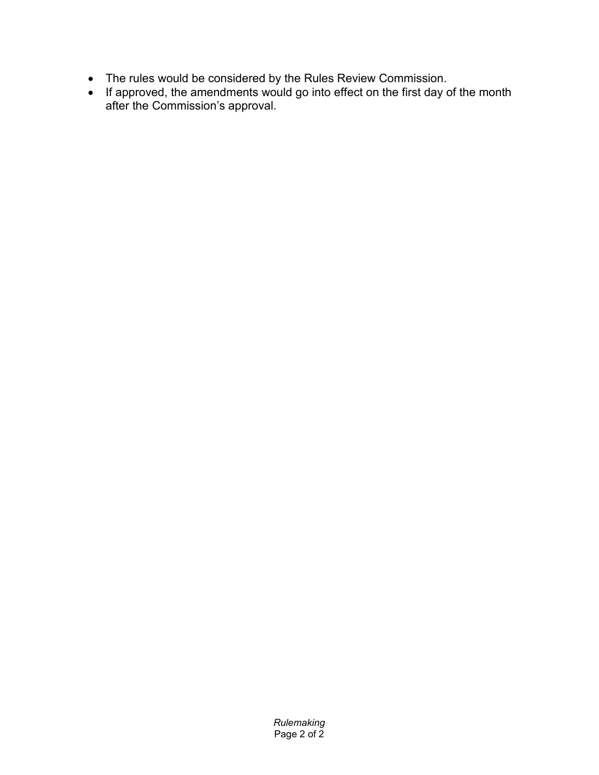- The rules would be considered by the Rules Review Commission.
- If approved, the amendments would go into effect on the first day of the month after the Commission's approval.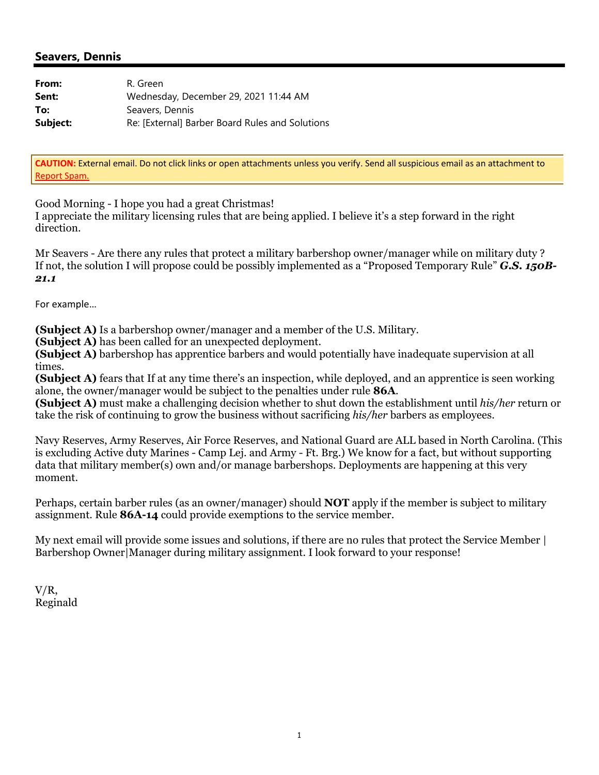#### **Seavers, Dennis**

| From:    | R. Green                                        |
|----------|-------------------------------------------------|
| Sent:    | Wednesday, December 29, 2021 11:44 AM           |
| To:      | Seavers, Dennis                                 |
| Subject: | Re: [External] Barber Board Rules and Solutions |

**CAUTION:** External email. Do not click links or open attachments unless you verify. Send all suspicious email as an attachment to Report Spam.

Good Morning - I hope you had a great Christmas!

I appreciate the military licensing rules that are being applied. I believe it's a step forward in the right direction.

Mr Seavers - Are there any rules that protect a military barbershop owner/manager while on military duty ? If not, the solution I will propose could be possibly implemented as a "Proposed Temporary Rule" *G.S. 150B-21.1*

For example…

**(Subject A)** Is a barbershop owner/manager and a member of the U.S. Military.

**(Subject A)** has been called for an unexpected deployment.

**(Subject A)** barbershop has apprentice barbers and would potentially have inadequate supervision at all times.

**(Subject A)** fears that If at any time there's an inspection, while deployed, and an apprentice is seen working alone, the owner/manager would be subject to the penalties under rule **86A**.

**(Subject A)** must make a challenging decision whether to shut down the establishment until *his/her* return or take the risk of continuing to grow the business without sacrificing *his/her* barbers as employees.

Navy Reserves, Army Reserves, Air Force Reserves, and National Guard are ALL based in North Carolina. (This is excluding Active duty Marines - Camp Lej. and Army - Ft. Brg.) We know for a fact, but without supporting data that military member(s) own and/or manage barbershops. Deployments are happening at this very moment.

Perhaps, certain barber rules (as an owner/manager) should **NOT** apply if the member is subject to military assignment. Rule **86A-14** could provide exemptions to the service member.

My next email will provide some issues and solutions, if there are no rules that protect the Service Member | Barbershop Owner|Manager during military assignment. I look forward to your response!

V/R, Reginald